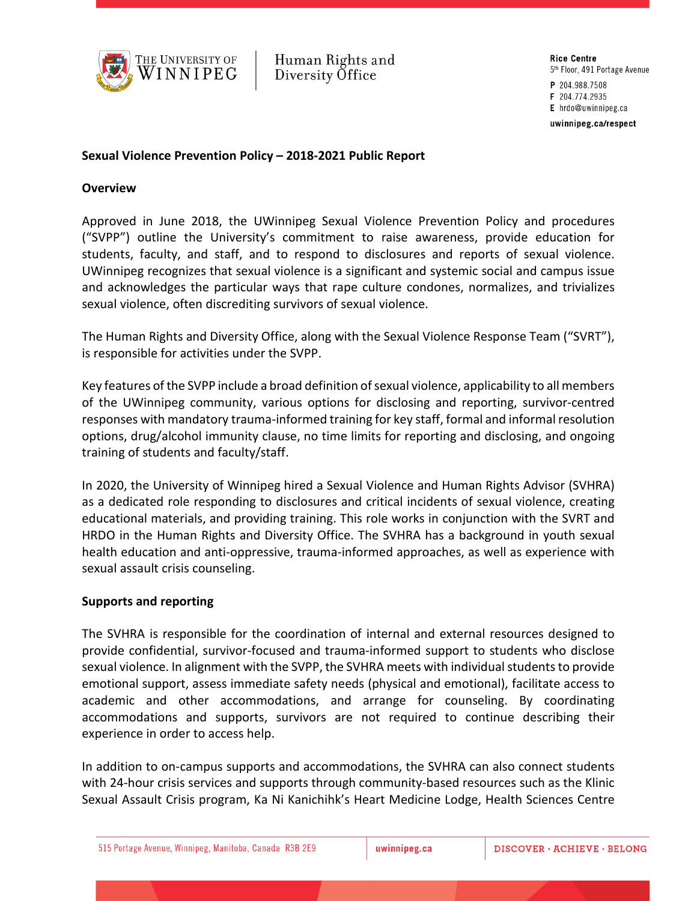

Human Rights and Diversity Office

**Rice Centre** 5<sup>th</sup> Floor, 491 Portage Avenue P 204.988.7508 F 204.774.2935 E hrdo@uwinnipeg.ca uwinnipeg.ca/respect

### **Sexual Violence Prevention Policy – 2018-2021 Public Report**

#### **Overview**

Approved in June 2018, the UWinnipeg Sexual Violence Prevention Policy and procedures ("SVPP") outline the University's commitment to raise awareness, provide education for students, faculty, and staff, and to respond to disclosures and reports of sexual violence. UWinnipeg recognizes that sexual violence is a significant and systemic social and campus issue and acknowledges the particular ways that rape culture condones, normalizes, and trivializes sexual violence, often discrediting survivors of sexual violence.

The Human Rights and Diversity Office, along with the Sexual Violence Response Team ("SVRT"), is responsible for activities under the SVPP.

Key features of the SVPP include a broad definition of sexual violence, applicability to all members of the UWinnipeg community, various options for disclosing and reporting, survivor-centred responses with mandatory trauma-informed training for key staff, formal and informal resolution options, drug/alcohol immunity clause, no time limits for reporting and disclosing, and ongoing training of students and faculty/staff.

In 2020, the University of Winnipeg hired a Sexual Violence and Human Rights Advisor (SVHRA) as a dedicated role responding to disclosures and critical incidents of sexual violence, creating educational materials, and providing training. This role works in conjunction with the SVRT and HRDO in the Human Rights and Diversity Office. The SVHRA has a background in youth sexual health education and anti-oppressive, trauma-informed approaches, as well as experience with sexual assault crisis counseling.

#### **Supports and reporting**

The SVHRA is responsible for the coordination of internal and external resources designed to provide confidential, survivor-focused and trauma-informed support to students who disclose sexual violence. In alignment with the SVPP, the SVHRA meets with individual students to provide emotional support, assess immediate safety needs (physical and emotional), facilitate access to academic and other accommodations, and arrange for counseling. By coordinating accommodations and supports, survivors are not required to continue describing their experience in order to access help.

In addition to on-campus supports and accommodations, the SVHRA can also connect students with 24-hour crisis services and supports through community-based resources such as the Klinic Sexual Assault Crisis program, Ka Ni Kanichihk's Heart Medicine Lodge, Health Sciences Centre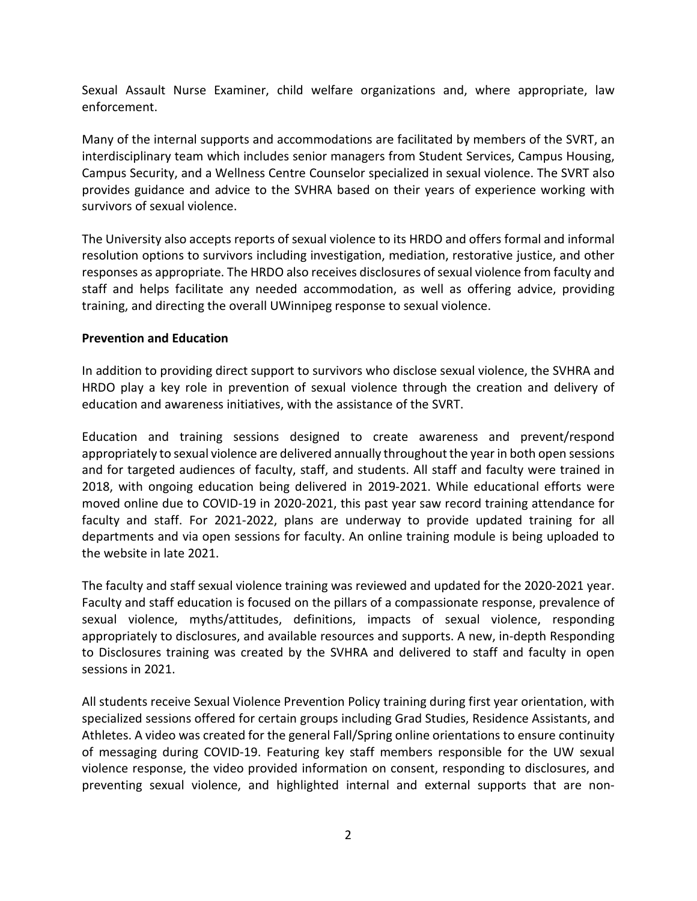Sexual Assault Nurse Examiner, child welfare organizations and, where appropriate, law enforcement.

Many of the internal supports and accommodations are facilitated by members of the SVRT, an interdisciplinary team which includes senior managers from Student Services, Campus Housing, Campus Security, and a Wellness Centre Counselor specialized in sexual violence. The SVRT also provides guidance and advice to the SVHRA based on their years of experience working with survivors of sexual violence.

The University also accepts reports of sexual violence to its HRDO and offers formal and informal resolution options to survivors including investigation, mediation, restorative justice, and other responses as appropriate. The HRDO also receives disclosures of sexual violence from faculty and staff and helps facilitate any needed accommodation, as well as offering advice, providing training, and directing the overall UWinnipeg response to sexual violence.

## **Prevention and Education**

In addition to providing direct support to survivors who disclose sexual violence, the SVHRA and HRDO play a key role in prevention of sexual violence through the creation and delivery of education and awareness initiatives, with the assistance of the SVRT.

Education and training sessions designed to create awareness and prevent/respond appropriately to sexual violence are delivered annually throughout the year in both open sessions and for targeted audiences of faculty, staff, and students. All staff and faculty were trained in 2018, with ongoing education being delivered in 2019-2021. While educational efforts were moved online due to COVID-19 in 2020-2021, this past year saw record training attendance for faculty and staff. For 2021-2022, plans are underway to provide updated training for all departments and via open sessions for faculty. An online training module is being uploaded to the website in late 2021.

The faculty and staff sexual violence training was reviewed and updated for the 2020-2021 year. Faculty and staff education is focused on the pillars of a compassionate response, prevalence of sexual violence, myths/attitudes, definitions, impacts of sexual violence, responding appropriately to disclosures, and available resources and supports. A new, in-depth Responding to Disclosures training was created by the SVHRA and delivered to staff and faculty in open sessions in 2021.

All students receive Sexual Violence Prevention Policy training during first year orientation, with specialized sessions offered for certain groups including Grad Studies, Residence Assistants, and Athletes. A video was created for the general Fall/Spring online orientations to ensure continuity of messaging during COVID-19. Featuring key staff members responsible for the UW sexual violence response, the video provided information on consent, responding to disclosures, and preventing sexual violence, and highlighted internal and external supports that are non